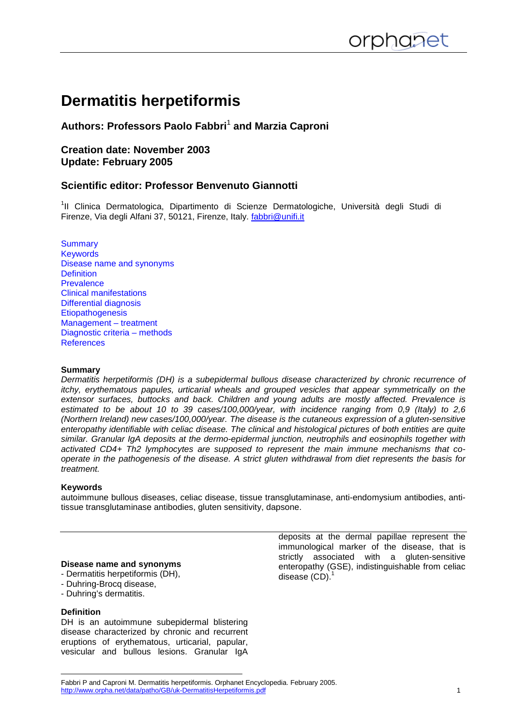# **Dermatitis herpetiformis**

## **Authors: Professors Paolo Fabbri**<sup>1</sup>  **and Marzia Caproni**

### **Creation date: November 2003 Update: February 2005**

## **Scientific editor: Professor Benvenuto Giannotti**

<sup>1</sup>II Clinica Dermatologica, Dipartimento di Scienze Dermatologiche, Università degli Studi di Firenze, Via degli Alfani 37, 50121, Firenze, Italy. fabbri@unifi.it

**Summary Keywords** Disease name and synonyms **Definition Prevalence** Clinical manifestations Differential diagnosis **Etiopathogenesis** Management – treatment Diagnostic criteria – methods **References** 

#### **Summary**

Dermatitis herpetiformis (DH) is a subepidermal bullous disease characterized by chronic recurrence of itchy, erythematous papules, urticarial wheals and grouped vesicles that appear symmetrically on the extensor surfaces, buttocks and back. Children and young adults are mostly affected. Prevalence is estimated to be about 10 to 39 cases/100,000/year, with incidence ranging from 0,9 (Italy) to 2,6 (Northern Ireland) new cases/100,000/year. The disease is the cutaneous expression of a gluten-sensitive enteropathy identifiable with celiac disease. The clinical and histological pictures of both entities are quite similar. Granular IgA deposits at the dermo-epidermal junction, neutrophils and eosinophils together with activated CD4+ Th2 lymphocytes are supposed to represent the main immune mechanisms that cooperate in the pathogenesis of the disease. A strict gluten withdrawal from diet represents the basis for treatment.

#### **Keywords**

autoimmune bullous diseases, celiac disease, tissue transglutaminase, anti-endomysium antibodies, antitissue transglutaminase antibodies, gluten sensitivity, dapsone.

#### **Disease name and synonyms**

- Dermatitis herpetiformis (DH),
- Duhring-Brocq disease,
- Duhring's dermatitis.

#### **Definition**

DH is an autoimmune subepidermal blistering disease characterized by chronic and recurrent eruptions of erythematous, urticarial, papular, vesicular and bullous lesions. Granular IgA

deposits at the dermal papillae represent the immunological marker of the disease, that is strictly associated with a gluten-sensitive enteropathy (GSE), indistinguishable from celiac disease  $(CD)$ .<sup>1</sup>

Fabbri P and Caproni M. Dermatitis herpetiformis. Orphanet Encyclopedia. February 2005. http://www.orpha.net/data/patho/GB/uk-DermatitisHerpetiformis.pdf 1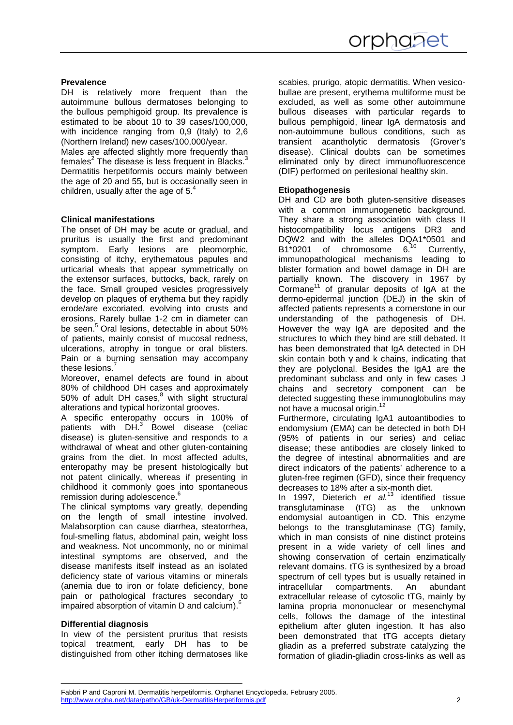#### **Prevalence**

DH is relatively more frequent than the autoimmune bullous dermatoses belonging to the bullous pemphigoid group. Its prevalence is estimated to be about 10 to 39 cases/100,000, with incidence ranging from 0,9 (Italy) to 2,6 (Northern Ireland) new cases/100,000/year.

Males are affected slightly more frequently than females $^2$  The disease is less frequent in Blacks.<sup>3</sup> Dermatitis herpetiformis occurs mainly between the age of 20 and 55, but is occasionally seen in children, usually after the age of  $5<sup>4</sup>$ 

#### **Clinical manifestations**

The onset of DH may be acute or gradual, and pruritus is usually the first and predominant symptom. Early lesions are pleomorphic, consisting of itchy, erythematous papules and urticarial wheals that appear symmetrically on the extensor surfaces, buttocks, back, rarely on the face. Small grouped vesicles progressively develop on plaques of erythema but they rapidly erode/are excoriated, evolving into crusts and erosions. Rarely bullae 1-2 cm in diameter can be seen.<sup>5</sup> Oral lesions, detectable in about 50% of patients, mainly consist of mucosal redness, ulcerations, atrophy in tongue or oral blisters. Pain or a burning sensation may accompany these lesions.

Moreover, enamel defects are found in about 80% of childhood DH cases and approximately 50% of adult DH cases, $8$  with slight structural alterations and typical horizontal grooves.

A specific enteropathy occurs in 100% of patients with  $DH<sup>3</sup>$  Bowel disease (celiac disease) is gluten-sensitive and responds to a withdrawal of wheat and other gluten-containing grains from the diet. In most affected adults, enteropathy may be present histologically but not patent clinically, whereas if presenting in childhood it commonly goes into spontaneous remission during adolescence.<sup>6</sup>

The clinical symptoms vary greatly, depending on the length of small intestine involved. Malabsorption can cause diarrhea, steatorrhea, foul-smelling flatus, abdominal pain, weight loss and weakness. Not uncommonly, no or minimal intestinal symptoms are observed, and the disease manifests itself instead as an isolated deficiency state of various vitamins or minerals (anemia due to iron or folate deficiency, bone pain or pathological fractures secondary to impaired absorption of vitamin D and calcium).

#### **Differential diagnosis**

In view of the persistent pruritus that resists topical treatment, early DH has to be distinguished from other itching dermatoses like

scabies, prurigo, atopic dermatitis. When vesicobullae are present, erythema multiforme must be excluded, as well as some other autoimmune bullous diseases with particular regards to bullous pemphigoid, linear IgA dermatosis and non-autoimmune bullous conditions, such as transient acantholytic dermatosis (Grover's disease). Clinical doubts can be sometimes eliminated only by direct immunofluorescence (DIF) performed on perilesional healthy skin.

#### **Etiopathogenesis**

DH and CD are both gluten-sensitive diseases with a common immunogenetic background. They share a strong association with class II histocompatibility locus antigens DR3 and DQW2 and with the alleles DQA1\*0501 and B1\*0201 of chromosome 6.<sup>10</sup> Currently, immunopathological mechanisms leading to blister formation and bowel damage in DH are partially known. The discovery in 1967 by Cormane<sup>11</sup> of granular deposits of  $\text{IA}$  at the dermo-epidermal junction (DEJ) in the skin of affected patients represents a cornerstone in our understanding of the pathogenesis of DH. However the way IgA are deposited and the structures to which they bind are still debated. It has been demonstrated that IgA detected in DH skin contain both  $\gamma$  and k chains, indicating that they are polyclonal. Besides the IgA1 are the predominant subclass and only in few cases J chains and secretory component can be detected suggesting these immunoglobulins may not have a mucosal origin.<sup>12</sup>

Furthermore, circulating IgA1 autoantibodies to endomysium (EMA) can be detected in both DH (95% of patients in our series) and celiac disease; these antibodies are closely linked to the degree of intestinal abnormalities and are direct indicators of the patients' adherence to a gluten-free regimen (GFD), since their frequency decreases to 18% after a six-month diet.

In 1997, Dieterich et al.<sup>13</sup> identified tissue transglutaminase (tTG) as the unknown endomysial autoantigen in CD. This enzyme belongs to the transglutaminase (TG) family, which in man consists of nine distinct proteins present in a wide variety of cell lines and showing conservation of certain enzimatically relevant domains. tTG is synthesized by a broad spectrum of cell types but is usually retained in intracellular compartments. An abundant extracellular release of cytosolic tTG, mainly by lamina propria mononuclear or mesenchymal cells, follows the damage of the intestinal epithelium after gluten ingestion. It has also been demonstrated that tTG accepts dietary gliadin as a preferred substrate catalyzing the formation of gliadin-gliadin cross-links as well as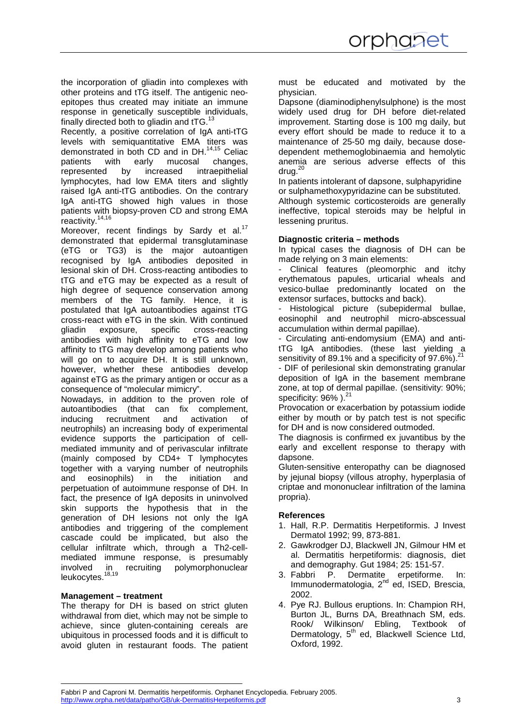the incorporation of gliadin into complexes with other proteins and tTG itself. The antigenic neoepitopes thus created may initiate an immune response in genetically susceptible individuals, finally directed both to gliadin and  $tTG$ .<sup>13</sup>

Recently, a positive correlation of IgA anti-tTG levels with semiquantitative EMA titers was demonstrated in both CD and in DH.<sup>14,15</sup> Celiac patients with early mucosal changes, represented by increased intraepithelial lymphocytes, had low EMA titers and slightly raised IgA anti-tTG antibodies. On the contrary IgA anti-tTG showed high values in those patients with biopsy-proven CD and strong EMA reactivity.<sup>14,16</sup>

Moreover, recent findings by Sardy et al.<sup>17</sup> demonstrated that epidermal transglutaminase (eTG or TG3) is the major autoantigen recognised by IgA antibodies deposited in lesional skin of DH. Cross-reacting antibodies to tTG and eTG may be expected as a result of high degree of sequence conservation among members of the TG family. Hence, it is postulated that IgA autoantibodies against tTG cross-react with eTG in the skin. With continued gliadin exposure, specific cross-reacting antibodies with high affinity to eTG and low affinity to tTG may develop among patients who will go on to acquire DH. It is still unknown, however, whether these antibodies develop against eTG as the primary antigen or occur as a consequence of "molecular mimicry".

Nowadays, in addition to the proven role of autoantibodies (that can fix complement, inducing recruitment and activation of neutrophils) an increasing body of experimental evidence supports the participation of cellmediated immunity and of perivascular infiltrate (mainly composed by CD4+ T lymphocytes together with a varying number of neutrophils and eosinophils) in the initiation and perpetuation of autoimmune response of DH. In fact, the presence of IgA deposits in uninvolved skin supports the hypothesis that in the generation of DH lesions not only the IgA antibodies and triggering of the complement cascade could be implicated, but also the cellular infiltrate which, through a Th2-cellmediated immune response, is presumably recruiting polymorphonuclear leukocytes.<sup>18,19</sup>

#### **Management – treatment**

The therapy for DH is based on strict gluten withdrawal from diet, which may not be simple to achieve, since gluten-containing cereals are ubiquitous in processed foods and it is difficult to avoid gluten in restaurant foods. The patient must be educated and motivated by the physician.

Dapsone (diaminodiphenylsulphone) is the most widely used drug for DH before diet-related improvement. Starting dose is 100 mg daily, but every effort should be made to reduce it to a maintenance of 25-50 mg daily, because dosedependent methemoglobinaemia and hemolytic anemia are serious adverse effects of this drug.<sup>2</sup>

In patients intolerant of dapsone, sulphapyridine or sulphamethoxypyridazine can be substituted.

Although systemic corticosteroids are generally ineffective, topical steroids may be helpful in lessening pruritus.

#### **Diagnostic criteria – methods**

In typical cases the diagnosis of DH can be made relying on 3 main elements:

Clinical features (pleomorphic and itchy erythematous papules, urticarial wheals and vesico-bullae predominantly located on the extensor surfaces, buttocks and back).

- Histological picture (subepidermal bullae, eosinophil and neutrophil micro-abscessual accumulation within dermal papillae).

- Circulating anti-endomysium (EMA) and antitTG IgA antibodies. (these last yielding a sensitivity of 89.1% and a specificity of 97.6%). $21$ - DIF of perilesional skin demonstrating granular deposition of IgA in the basement membrane zone, at top of dermal papillae. (sensitivity: 90%; specificity:  $96\%$ ).<sup>21</sup>

Provocation or exacerbation by potassium iodide either by mouth or by patch test is not specific for DH and is now considered outmoded.

The diagnosis is confirmed ex juvantibus by the early and excellent response to therapy with dapsone.

Gluten-sensitive enteropathy can be diagnosed by jejunal biopsy (villous atrophy, hyperplasia of criptae and mononuclear infiltration of the lamina propria).

#### **References**

- 1. Hall, R.P. Dermatitis Herpetiformis. J Invest Dermatol 1992; 99, 873-881.
- 2. Gawkrodger DJ, Blackwell JN, Gilmour HM et al. Dermatitis herpetiformis: diagnosis, diet and demography. Gut 1984; 25: 151-57.
- 3. Fabbri P. Dermatite erpetiforme. In: Immunodermatologia, 2<sup>nd</sup> ed, ISED, Brescia, 2002.
- 4. Pye RJ. Bullous eruptions. In: Champion RH, Burton JL, Burns DA, Breathnach SM, eds. Rook/ Wilkinson/ Ebling, Textbook of Dermatology, 5<sup>th</sup> ed, Blackwell Science Ltd, Oxford, 1992.

Fabbri P and Caproni M. Dermatitis herpetiformis. Orphanet Encyclopedia. February 2005. http://www.orpha.net/data/patho/GB/uk-DermatitisHerpetiformis.pdf 3